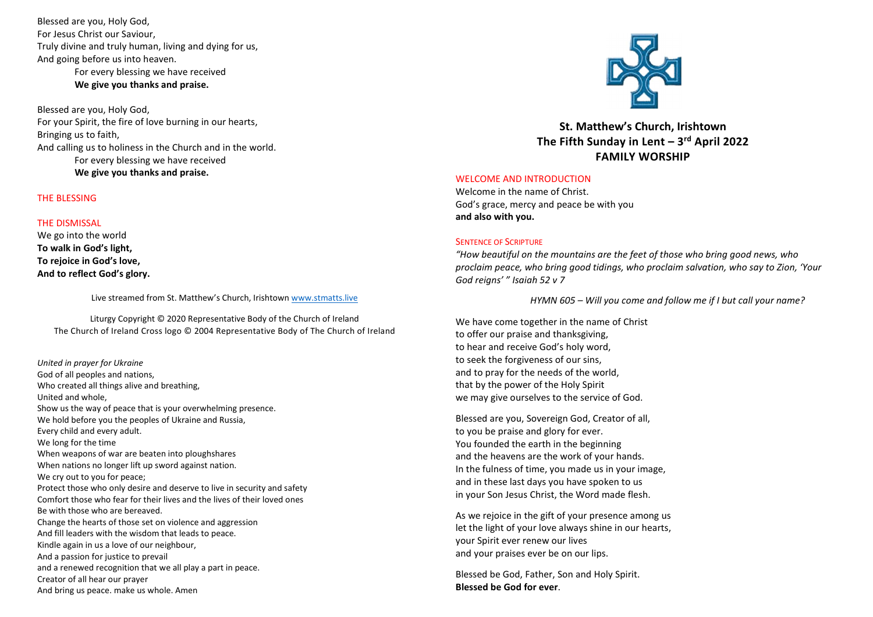Blessed are you, Holy God, For Jesus Christ our Saviour, Truly divine and truly human, living and dying for us, And going before us into heaven. For every blessing we have received We give you thanks and praise.

Blessed are you, Holy God, For your Spirit, the fire of love burning in our hearts, Bringing us to faith, And calling us to holiness in the Church and in the world. For every blessing we have received We give you thanks and praise.

#### THE BLESSING

#### THE DISMISSAL

We go into the world To walk in God's light, To rejoice in God's love, And to reflect God's glory.

Live streamed from St. Matthew's Church, Irishtown www.stmatts.live

Liturgy Copyright © 2020 Representative Body of the Church of Ireland The Church of Ireland Cross logo © 2004 Representative Body of The Church of Ireland

United in prayer for Ukraine God of all peoples and nations, Who created all things alive and breathing, United and whole, Show us the way of peace that is your overwhelming presence. We hold before you the peoples of Ukraine and Russia, Every child and every adult. We long for the time When weapons of war are beaten into ploughshares When nations no longer lift up sword against nation. We cry out to you for peace; Protect those who only desire and deserve to live in security and safety Comfort those who fear for their lives and the lives of their loved ones Be with those who are bereaved. Change the hearts of those set on violence and aggression And fill leaders with the wisdom that leads to peace. Kindle again in us a love of our neighbour, And a passion for justice to prevail and a renewed recognition that we all play a part in peace. Creator of all hear our prayer And bring us peace. make us whole. Amen



St. Matthew's Church, Irishtown The Fifth Sunday in Lent –  $3<sup>rd</sup>$  April 2022 FAMILY WORSHIP

# WELCOME AND INTRODUCTION

Welcome in the name of Christ. God's grace, mercy and peace be with you and also with you.

#### SENTENCE OF SCRIPTURE

"How beautiful on the mountains are the feet of those who bring good news, who proclaim peace, who bring good tidings, who proclaim salvation, who say to Zion, 'Your God reigns' " Isaiah 52 v 7

HYMN 605 – Will you come and follow me if I but call your name?

We have come together in the name of Christ to offer our praise and thanksgiving, to hear and receive God's holy word, to seek the forgiveness of our sins, and to pray for the needs of the world, that by the power of the Holy Spirit we may give ourselves to the service of God.

Blessed are you, Sovereign God, Creator of all, to you be praise and glory for ever. You founded the earth in the beginning and the heavens are the work of your hands. In the fulness of time, you made us in your image, and in these last days you have spoken to us in your Son Jesus Christ, the Word made flesh.

As we rejoice in the gift of your presence among us let the light of your love always shine in our hearts, your Spirit ever renew our lives and your praises ever be on our lips.

Blessed be God, Father, Son and Holy Spirit. Blessed be God for ever.